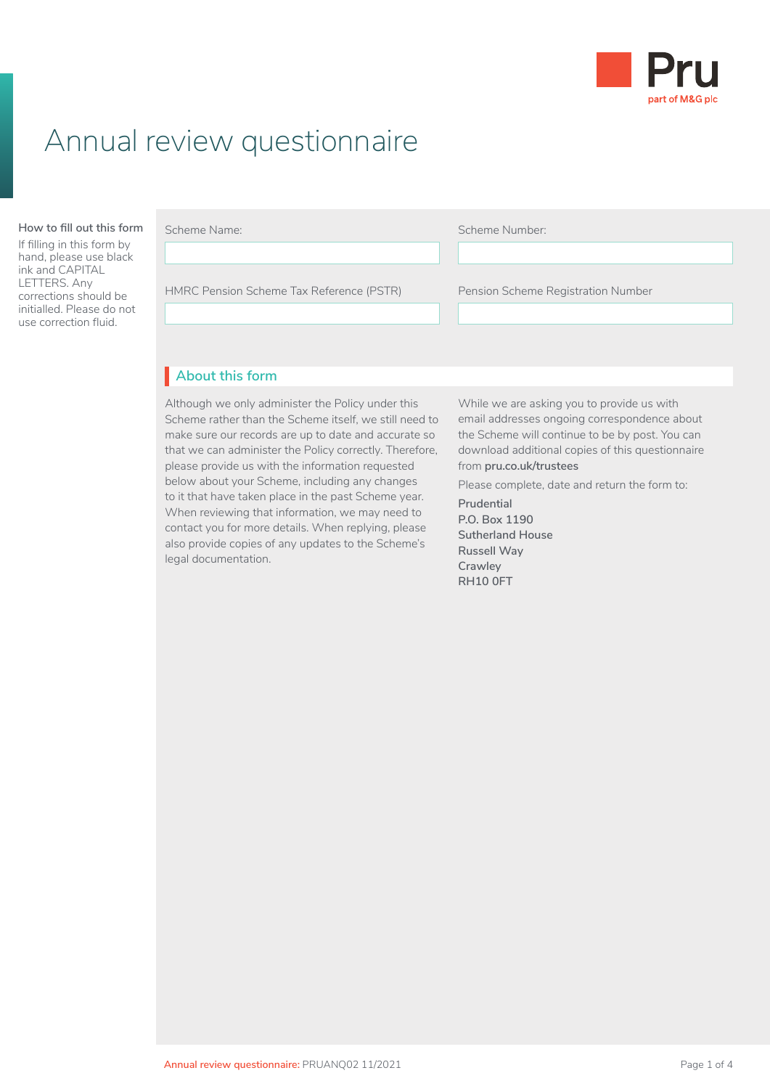

# Annual review questionnaire

#### **How to fill out this form** Scheme Name:

If filling in this form by hand, please use black ink and CAPITAL LETTERS. Any corrections should be initialled. Please do not use correction fluid.

| Scheme Nam |  |
|------------|--|
|            |  |

Before you fill in this Local Government Pension

Scheme Number:

HMRC Pension Scheme Tax Reference (PSTR) Pension Scheme Registration Number Pension Scheme Registration Number • are already paying AVCs and you've changed  $\overline{L}$ 

### • Client Agreement **About this form** I

Although we only administer the Policy under this Scheme rather than the Scheme itself, we still need to make sure our records are up to date and accurate so that we can administer the Policy correctly. Therefore, please provide us with the information requested below about your Scheme, including any changes to it that have taken place in the past Scheme year. When reviewing that information, we may need to contact you for more details. When replying, please also provide copies of any updates to the Scheme's legal documentation.

While we are asking you to provide us with email addresses ongoing correspondence about the Scheme will continue to be by post. You can download additional copies of this questionnaire from **[pru.co.uk/trustees](https://www.pru.co.uk/trustees/)**

Please complete, date and return the form to:

**Prudential P.O. Box 1190 Sutherland House Russell Way Crawley RH10 0FT**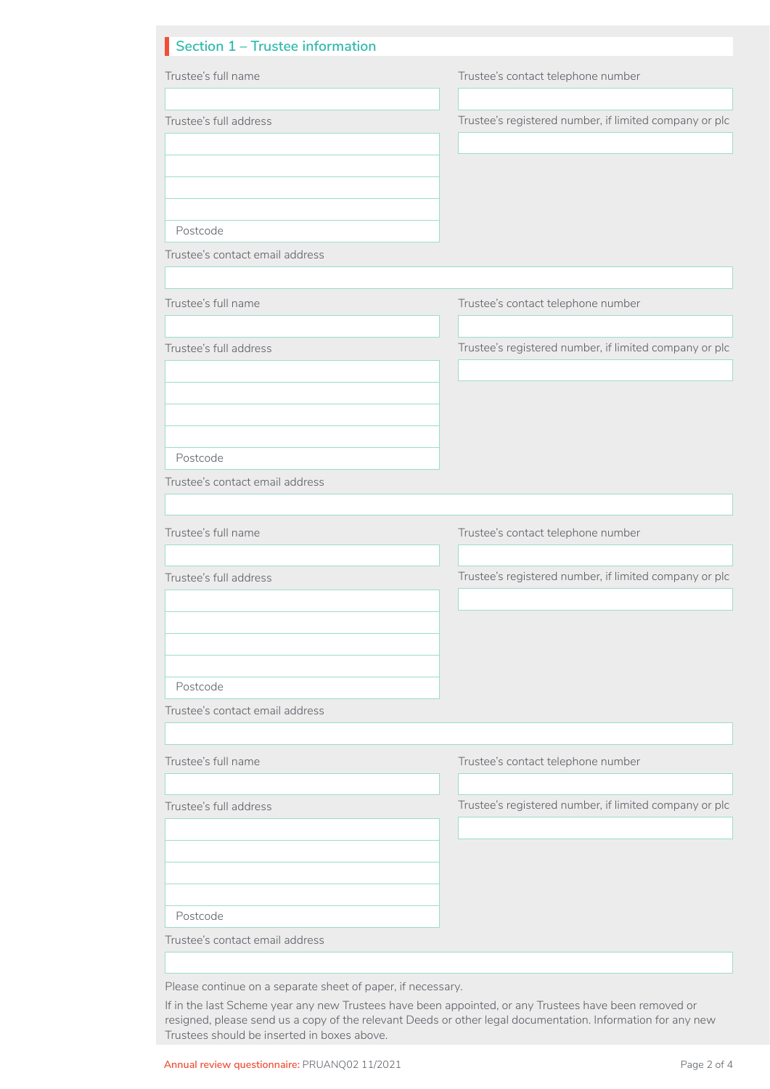| Section 1 - Trustee information                             |                                                        |
|-------------------------------------------------------------|--------------------------------------------------------|
| Trustee's full name                                         | Trustee's contact telephone number                     |
|                                                             |                                                        |
| Trustee's full address                                      | Trustee's registered number, if limited company or plc |
|                                                             |                                                        |
|                                                             |                                                        |
|                                                             |                                                        |
| Postcode                                                    |                                                        |
| Trustee's contact email address                             |                                                        |
|                                                             |                                                        |
| Trustee's full name                                         | Trustee's contact telephone number                     |
|                                                             |                                                        |
| Trustee's full address                                      | Trustee's registered number, if limited company or plc |
|                                                             |                                                        |
|                                                             |                                                        |
|                                                             |                                                        |
| Postcode                                                    |                                                        |
| Trustee's contact email address                             |                                                        |
|                                                             |                                                        |
| Trustee's full name                                         | Trustee's contact telephone number                     |
|                                                             |                                                        |
| Trustee's full address                                      | Trustee's registered number, if limited company or plc |
|                                                             |                                                        |
|                                                             |                                                        |
|                                                             |                                                        |
|                                                             |                                                        |
| Postcode<br>Trustee's contact email address                 |                                                        |
|                                                             |                                                        |
| Trustee's full name                                         | Trustee's contact telephone number                     |
|                                                             |                                                        |
| Trustee's full address                                      | Trustee's registered number, if limited company or plc |
|                                                             |                                                        |
|                                                             |                                                        |
|                                                             |                                                        |
|                                                             |                                                        |
| Postcode<br>Trustee's contact email address                 |                                                        |
|                                                             |                                                        |
|                                                             |                                                        |
| Please continue on a separate sheet of paper, if necessary. |                                                        |

resigned, please send us a copy of the relevant Deeds or other legal documentation. Information for any new

Trustees should be inserted in boxes above.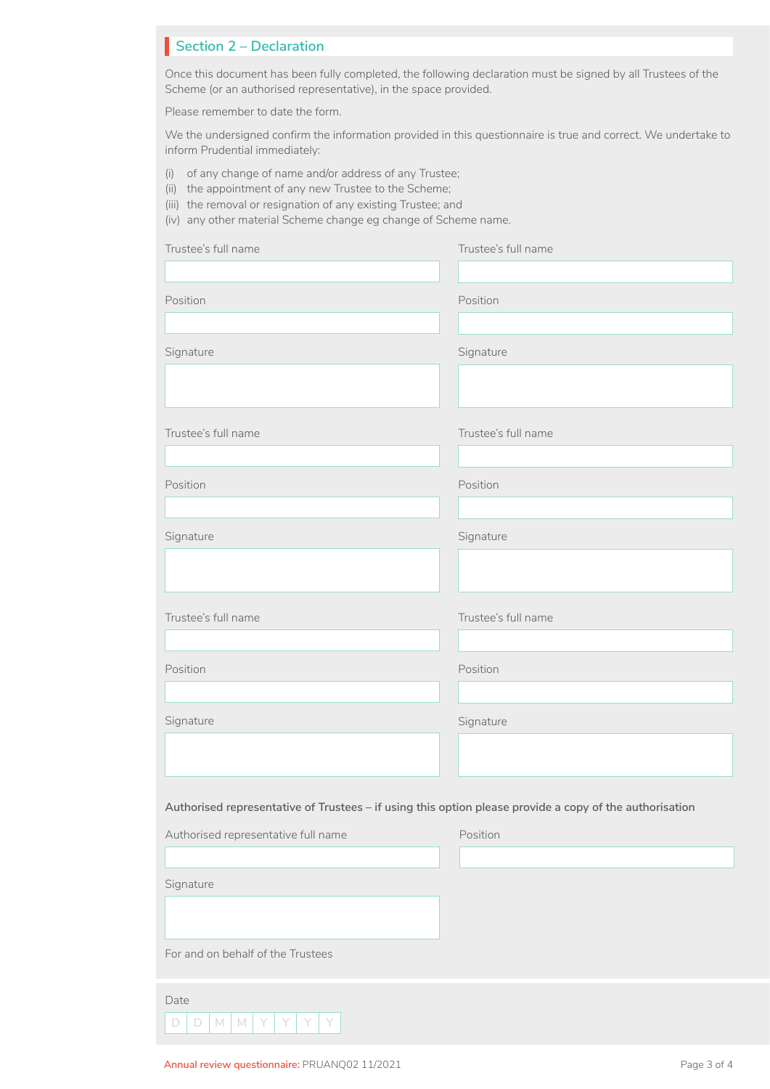## **Section 2 – Declaration**

Once this document has been fully completed, the following declaration must be signed by all Trustees of the Scheme (or an authorised representative), in the space provided.

Please remember to date the form.

We the undersigned confirm the information provided in this questionnaire is true and correct. We undertake to inform Prudential immediately:

- (i) of any change of name and/or address of any Trustee;
- (ii) the appointment of any new Trustee to the Scheme;
- (iii) the removal or resignation of any existing Trustee; and

(iv) any other material Scheme change eg change of Scheme name.

| Trustee's full name                                                                                     | Trustee's full name |
|---------------------------------------------------------------------------------------------------------|---------------------|
|                                                                                                         |                     |
| Position                                                                                                | Position            |
|                                                                                                         |                     |
| Signature                                                                                               | Signature           |
|                                                                                                         |                     |
|                                                                                                         |                     |
| Trustee's full name                                                                                     | Trustee's full name |
|                                                                                                         |                     |
| Position                                                                                                | Position            |
|                                                                                                         |                     |
| Signature                                                                                               | Signature           |
|                                                                                                         |                     |
|                                                                                                         |                     |
|                                                                                                         |                     |
| Trustee's full name                                                                                     | Trustee's full name |
|                                                                                                         |                     |
| Position                                                                                                | Position            |
|                                                                                                         |                     |
| Signature                                                                                               | Signature           |
|                                                                                                         |                     |
|                                                                                                         |                     |
| Authorised representative of Trustees - if using this option please provide a copy of the authorisation |                     |
| Authorised representative full name                                                                     | Position            |
|                                                                                                         |                     |
| Signature                                                                                               |                     |
|                                                                                                         |                     |
|                                                                                                         |                     |
| For and on behalf of the Trustees                                                                       |                     |
| Date                                                                                                    |                     |
| $\Box$<br>$M$ $M$<br>$\Box$<br>Y<br>Y<br>Y<br>Y                                                         |                     |